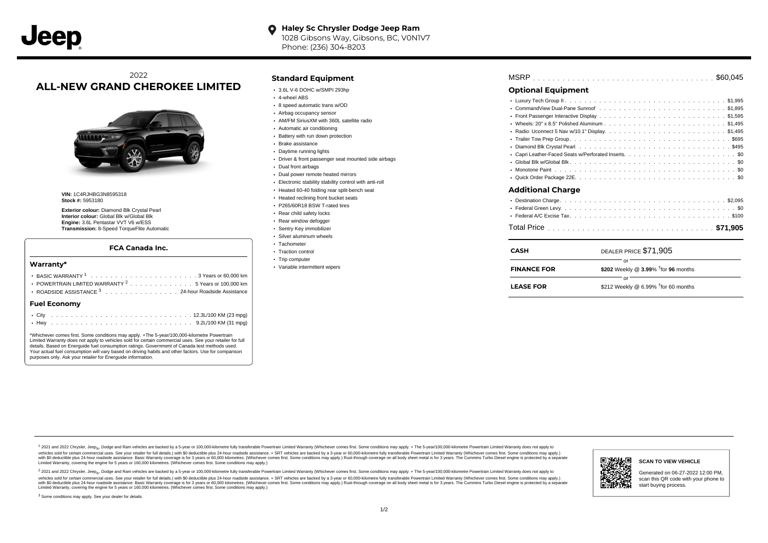## 2022 **ALL-NEW GRAND CHEROKEE LIMITED**



**VIN:** 1C4RJHBG3N8595318 **Stock #:** 5953180

**Exterior colour:** Diamond Blk Crystal Pearl **Interior colour:** Global Blk w/Global Blk **Engine:** 3.6L Pentastar VVT V6 w/ESS **Transmission:** 8-Speed TorqueFlite Automatic

#### **FCA Canada Inc.**

#### **Warranty\***

| POWERTRAIN LIMITED WARRANTY $2 \ldots \ldots \ldots \ldots \ldots 5$ Years or 100,000 km |  |  |  |  |  |
|------------------------------------------------------------------------------------------|--|--|--|--|--|
| ROADSIDE ASSISTANCE 3 24-hour Roadside Assistance                                        |  |  |  |  |  |
| <b>Fuel Economy</b>                                                                      |  |  |  |  |  |
|                                                                                          |  |  |  |  |  |

\*Whichever comes first. Some conditions may apply. +The 5-year/100,000-kilometre Powertrain Limited Warranty does not apply to vehicles sold for certain commercial uses. See your retailer for full details. Based on Energuide fuel consumption ratings. Government of Canada test methods used. Your actual fuel consumption will vary based on driving habits and other factors. Use for comparison purposes only. Ask your retailer for Energuide information.

. . . . . . . . . . . . . . . . . . . . . . . . . . . . . . . . . . . . . . . . . . . Hwy 9.2L/100 KM (31 mpg)

### **Standard Equipment**

- 3.6L V-6 DOHC w/SMPI 293hp
- 4-wheel ABS
- 8 speed automatic trans w/OD
- Airbag occupancy sensor
- AM/FM SiriusXM with 360L satellite radio
- Automatic air conditioning
- Battery with run down protection
- Brake assistance
- Daytime running lights
- Driver & front passenger seat mounted side airbags
- Dual front airbags
- Dual power remote heated mirrors
- Electronic stability stability control with anti-roll
- Heated 60-40 folding rear split-bench seat
- Heated reclining front bucket seats
- P265/60R18 BSW T-rated tires
- Rear child safety locks
- Rear window defogger
- Sentry Key immobilizer Silver aluminum wheels
- Tachometer
- Traction control
- Trip computer
- Variable intermittent wipers

| <b>FINANCE FOR</b>        | \$202 Weekly @ $3.99\%$ <sup>†</sup> for 96 months |
|---------------------------|----------------------------------------------------|
| <b>CASH</b>               | DEALER PRICE \$71,905<br>or                        |
|                           |                                                    |
|                           |                                                    |
|                           |                                                    |
| <b>Additional Charge</b>  |                                                    |
|                           |                                                    |
|                           |                                                    |
|                           |                                                    |
|                           |                                                    |
|                           |                                                    |
|                           |                                                    |
|                           |                                                    |
|                           |                                                    |
|                           |                                                    |
|                           |                                                    |
| <b>Optional Equipment</b> |                                                    |
|                           |                                                    |

| <b>LEASE FOR</b> | \$212 Weekly @ 6.99% $\dagger$ for 60 months |
|------------------|----------------------------------------------|

1 2021 and 2022 Chrysler, Jeep<sub>en</sub> Dodge and Ram vehicles are backed by a 5-year or 100,000-kilometre fully transferable Powertrain Limited Warranty (Whichever comes first. Some conditions may apply. + The 5-year/100,000-k vehicles sold for certain commercial uses. See your retailer for full details.) with \$0 deductible plus 24-hour roadside assistance. + SRT vehicles are backed by a 3-year or 60,000-kilometre fully transferable Powertrain L versus and contract the mean of the contract of the contract with a contract with a contract the contract of the search of the contract and a control of the contract and contract and control of the search of the search of Limited Warranty, covering the engine for 5 years or 160,000 kilometres. (Whichever comes first. Some conditions may apply.)

<sup>2</sup> 2021 and 2022 Chrysler, Jeep<sub>®</sub>, Dodge and Ram vehicles are backed by a 5-year or 100,000-kilometre fully transferable Powertrain Limited Warranty (Whichever comes first. Some conditions may apply. + The 5-year/100,000 vehicles sold for certain commercial uses. See your retailer for full details.) with SO deductible plus 24-hour roadside assistance. + SRT vehicles are backed by a 3-year or 60.000-kilometre fully transferable Powertrain L with S0 deductible plus 24-hour roadside assistance. Basic Warranty coverage is for 3 years or 60,000 kilometres. (Whichever comes first. Some conditions may apply.) Rust-through coverage on all body sheet metal is for 3 y



#### **SCAN TO VIEW VEHICLE**

Generated on 06-27-2022 12:00 PM, scan this QR code with your phone to start buying process.

<sup>3</sup> Some conditions may apply. See your dealer for details.